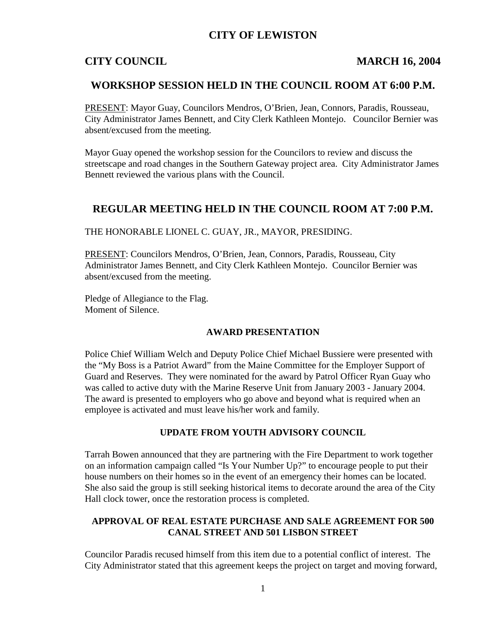# **CITY OF LEWISTON**

### **CITY COUNCIL MARCH 16, 2004**

### **WORKSHOP SESSION HELD IN THE COUNCIL ROOM AT 6:00 P.M.**

PRESENT: Mayor Guay, Councilors Mendros, O'Brien, Jean, Connors, Paradis, Rousseau, City Administrator James Bennett, and City Clerk Kathleen Montejo. Councilor Bernier was absent/excused from the meeting.

Mayor Guay opened the workshop session for the Councilors to review and discuss the streetscape and road changes in the Southern Gateway project area. City Administrator James Bennett reviewed the various plans with the Council.

## **REGULAR MEETING HELD IN THE COUNCIL ROOM AT 7:00 P.M.**

THE HONORABLE LIONEL C. GUAY, JR., MAYOR, PRESIDING.

PRESENT: Councilors Mendros, O'Brien, Jean, Connors, Paradis, Rousseau, City Administrator James Bennett, and City Clerk Kathleen Montejo. Councilor Bernier was absent/excused from the meeting.

Pledge of Allegiance to the Flag. Moment of Silence.

### **AWARD PRESENTATION**

Police Chief William Welch and Deputy Police Chief Michael Bussiere were presented with the "My Boss is a Patriot Award" from the Maine Committee for the Employer Support of Guard and Reserves. They were nominated for the award by Patrol Officer Ryan Guay who was called to active duty with the Marine Reserve Unit from January 2003 - January 2004. The award is presented to employers who go above and beyond what is required when an employee is activated and must leave his/her work and family.

### **UPDATE FROM YOUTH ADVISORY COUNCIL**

Tarrah Bowen announced that they are partnering with the Fire Department to work together on an information campaign called "Is Your Number Up?" to encourage people to put their house numbers on their homes so in the event of an emergency their homes can be located. She also said the group is still seeking historical items to decorate around the area of the City Hall clock tower, once the restoration process is completed.

### **APPROVAL OF REAL ESTATE PURCHASE AND SALE AGREEMENT FOR 500 CANAL STREET AND 501 LISBON STREET**

Councilor Paradis recused himself from this item due to a potential conflict of interest. The City Administrator stated that this agreement keeps the project on target and moving forward,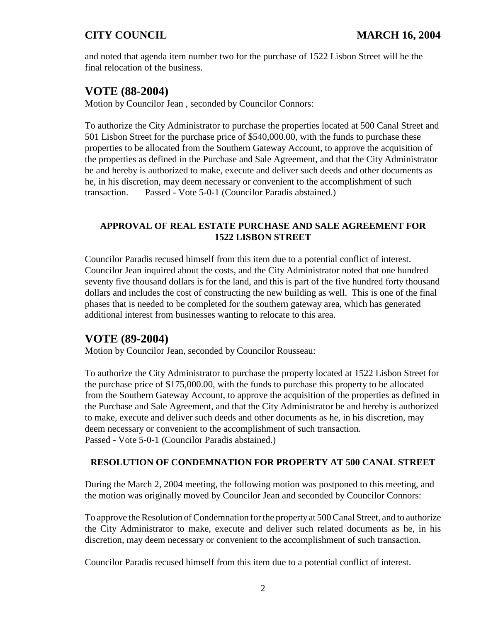and noted that agenda item number two for the purchase of 1522 Lisbon Street will be the final relocation of the business.

# **VOTE (88-2004)**

Motion by Councilor Jean , seconded by Councilor Connors:

To authorize the City Administrator to purchase the properties located at 500 Canal Street and 501 Lisbon Street for the purchase price of \$540,000.00, with the funds to purchase these properties to be allocated from the Southern Gateway Account, to approve the acquisition of the properties as defined in the Purchase and Sale Agreement, and that the City Administrator be and hereby is authorized to make, execute and deliver such deeds and other documents as he, in his discretion, may deem necessary or convenient to the accomplishment of such transaction. Passed - Vote 5-0-1 (Councilor Paradis abstained.)

## **APPROVAL OF REAL ESTATE PURCHASE AND SALE AGREEMENT FOR 1522 LISBON STREET**

Councilor Paradis recused himself from this item due to a potential conflict of interest. Councilor Jean inquired about the costs, and the City Administrator noted that one hundred seventy five thousand dollars is for the land, and this is part of the five hundred forty thousand dollars and includes the cost of constructing the new building as well. This is one of the final phases that is needed to be completed for the southern gateway area, which has generated additional interest from businesses wanting to relocate to this area.

# **VOTE (89-2004)**

Motion by Councilor Jean, seconded by Councilor Rousseau:

To authorize the City Administrator to purchase the property located at 1522 Lisbon Street for the purchase price of \$175,000.00, with the funds to purchase this property to be allocated from the Southern Gateway Account, to approve the acquisition of the properties as defined in the Purchase and Sale Agreement, and that the City Administrator be and hereby is authorized to make, execute and deliver such deeds and other documents as he, in his discretion, may deem necessary or convenient to the accomplishment of such transaction. Passed - Vote 5-0-1 (Councilor Paradis abstained.)

### **RESOLUTION OF CONDEMNATION FOR PROPERTY AT 500 CANAL STREET**

During the March 2, 2004 meeting, the following motion was postponed to this meeting, and the motion was originally moved by Councilor Jean and seconded by Councilor Connors:

To approve the Resolution of Condemnation for the property at 500 Canal Street, and to authorize the City Administrator to make, execute and deliver such related documents as he, in his discretion, may deem necessary or convenient to the accomplishment of such transaction.

Councilor Paradis recused himself from this item due to a potential conflict of interest.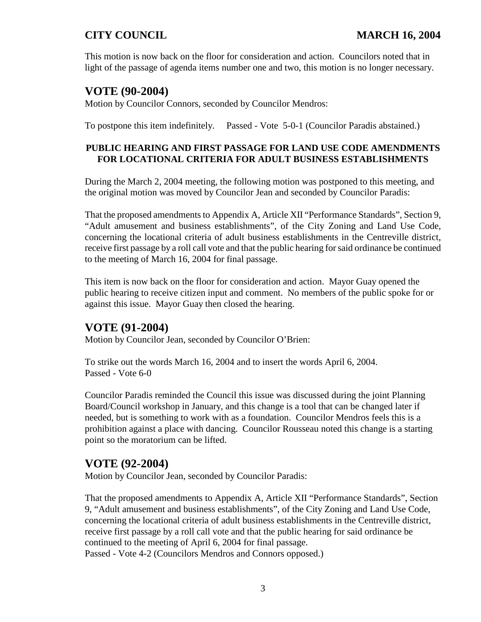This motion is now back on the floor for consideration and action. Councilors noted that in light of the passage of agenda items number one and two, this motion is no longer necessary.

# **VOTE (90-2004)**

Motion by Councilor Connors, seconded by Councilor Mendros:

To postpone this item indefinitely. Passed - Vote 5-0-1 (Councilor Paradis abstained.)

## **PUBLIC HEARING AND FIRST PASSAGE FOR LAND USE CODE AMENDMENTS FOR LOCATIONAL CRITERIA FOR ADULT BUSINESS ESTABLISHMENTS**

During the March 2, 2004 meeting, the following motion was postponed to this meeting, and the original motion was moved by Councilor Jean and seconded by Councilor Paradis:

That the proposed amendments to Appendix A, Article XII "Performance Standards", Section 9, "Adult amusement and business establishments", of the City Zoning and Land Use Code, concerning the locational criteria of adult business establishments in the Centreville district, receive first passage by a roll call vote and that the public hearing for said ordinance be continued to the meeting of March 16, 2004 for final passage.

This item is now back on the floor for consideration and action. Mayor Guay opened the public hearing to receive citizen input and comment. No members of the public spoke for or against this issue. Mayor Guay then closed the hearing.

# **VOTE (91-2004)**

Motion by Councilor Jean, seconded by Councilor O'Brien:

To strike out the words March 16, 2004 and to insert the words April 6, 2004. Passed - Vote 6-0

Councilor Paradis reminded the Council this issue was discussed during the joint Planning Board/Council workshop in January, and this change is a tool that can be changed later if needed, but is something to work with as a foundation. Councilor Mendros feels this is a prohibition against a place with dancing. Councilor Rousseau noted this change is a starting point so the moratorium can be lifted.

# **VOTE (92-2004)**

Motion by Councilor Jean, seconded by Councilor Paradis:

That the proposed amendments to Appendix A, Article XII "Performance Standards", Section 9, "Adult amusement and business establishments", of the City Zoning and Land Use Code, concerning the locational criteria of adult business establishments in the Centreville district, receive first passage by a roll call vote and that the public hearing for said ordinance be continued to the meeting of April 6, 2004 for final passage. Passed - Vote 4-2 (Councilors Mendros and Connors opposed.)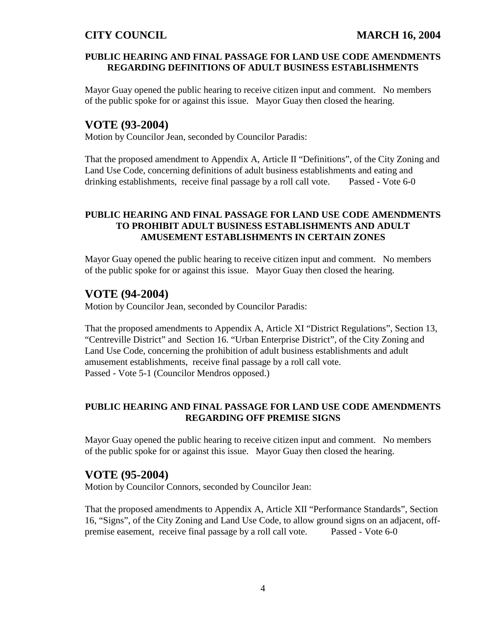### **PUBLIC HEARING AND FINAL PASSAGE FOR LAND USE CODE AMENDMENTS REGARDING DEFINITIONS OF ADULT BUSINESS ESTABLISHMENTS**

Mayor Guay opened the public hearing to receive citizen input and comment. No members of the public spoke for or against this issue. Mayor Guay then closed the hearing.

# **VOTE (93-2004)**

Motion by Councilor Jean, seconded by Councilor Paradis:

That the proposed amendment to Appendix A, Article II "Definitions", of the City Zoning and Land Use Code, concerning definitions of adult business establishments and eating and drinking establishments, receive final passage by a roll call vote. Passed - Vote 6-0

## **PUBLIC HEARING AND FINAL PASSAGE FOR LAND USE CODE AMENDMENTS TO PROHIBIT ADULT BUSINESS ESTABLISHMENTS AND ADULT AMUSEMENT ESTABLISHMENTS IN CERTAIN ZONES**

Mayor Guay opened the public hearing to receive citizen input and comment. No members of the public spoke for or against this issue. Mayor Guay then closed the hearing.

# **VOTE (94-2004)**

Motion by Councilor Jean, seconded by Councilor Paradis:

That the proposed amendments to Appendix A, Article XI "District Regulations", Section 13, "Centreville District" and Section 16. "Urban Enterprise District", of the City Zoning and Land Use Code, concerning the prohibition of adult business establishments and adult amusement establishments, receive final passage by a roll call vote. Passed - Vote 5-1 (Councilor Mendros opposed.)

### **PUBLIC HEARING AND FINAL PASSAGE FOR LAND USE CODE AMENDMENTS REGARDING OFF PREMISE SIGNS**

Mayor Guay opened the public hearing to receive citizen input and comment. No members of the public spoke for or against this issue. Mayor Guay then closed the hearing.

# **VOTE (95-2004)**

Motion by Councilor Connors, seconded by Councilor Jean:

That the proposed amendments to Appendix A, Article XII "Performance Standards", Section 16, "Signs", of the City Zoning and Land Use Code, to allow ground signs on an adjacent, offpremise easement, receive final passage by a roll call vote. Passed - Vote 6-0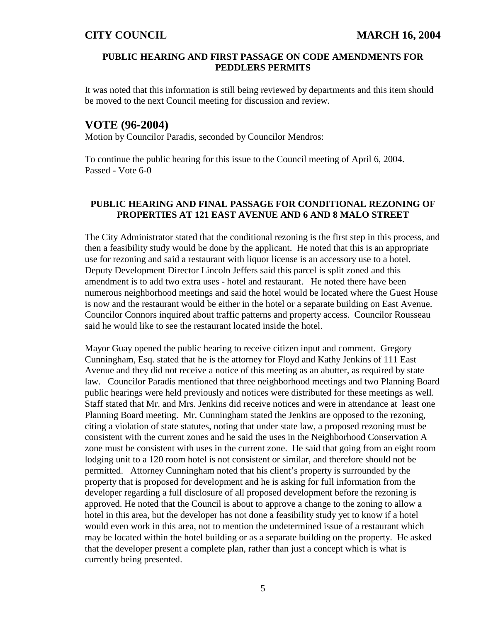### **PUBLIC HEARING AND FIRST PASSAGE ON CODE AMENDMENTS FOR PEDDLERS PERMITS**

It was noted that this information is still being reviewed by departments and this item should be moved to the next Council meeting for discussion and review.

## **VOTE (96-2004)**

Motion by Councilor Paradis, seconded by Councilor Mendros:

To continue the public hearing for this issue to the Council meeting of April 6, 2004. Passed - Vote 6-0

### **PUBLIC HEARING AND FINAL PASSAGE FOR CONDITIONAL REZONING OF PROPERTIES AT 121 EAST AVENUE AND 6 AND 8 MALO STREET**

The City Administrator stated that the conditional rezoning is the first step in this process, and then a feasibility study would be done by the applicant. He noted that this is an appropriate use for rezoning and said a restaurant with liquor license is an accessory use to a hotel. Deputy Development Director Lincoln Jeffers said this parcel is split zoned and this amendment is to add two extra uses - hotel and restaurant. He noted there have been numerous neighborhood meetings and said the hotel would be located where the Guest House is now and the restaurant would be either in the hotel or a separate building on East Avenue. Councilor Connors inquired about traffic patterns and property access. Councilor Rousseau said he would like to see the restaurant located inside the hotel.

Mayor Guay opened the public hearing to receive citizen input and comment. Gregory Cunningham, Esq. stated that he is the attorney for Floyd and Kathy Jenkins of 111 East Avenue and they did not receive a notice of this meeting as an abutter, as required by state law. Councilor Paradis mentioned that three neighborhood meetings and two Planning Board public hearings were held previously and notices were distributed for these meetings as well. Staff stated that Mr. and Mrs. Jenkins did receive notices and were in attendance at least one Planning Board meeting. Mr. Cunningham stated the Jenkins are opposed to the rezoning, citing a violation of state statutes, noting that under state law, a proposed rezoning must be consistent with the current zones and he said the uses in the Neighborhood Conservation A zone must be consistent with uses in the current zone. He said that going from an eight room lodging unit to a 120 room hotel is not consistent or similar, and therefore should not be permitted. Attorney Cunningham noted that his client's property is surrounded by the property that is proposed for development and he is asking for full information from the developer regarding a full disclosure of all proposed development before the rezoning is approved. He noted that the Council is about to approve a change to the zoning to allow a hotel in this area, but the developer has not done a feasibility study yet to know if a hotel would even work in this area, not to mention the undetermined issue of a restaurant which may be located within the hotel building or as a separate building on the property. He asked that the developer present a complete plan, rather than just a concept which is what is currently being presented.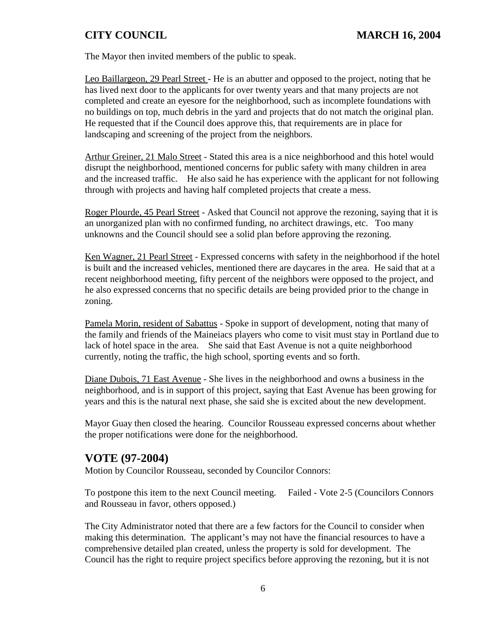The Mayor then invited members of the public to speak.

Leo Baillargeon, 29 Pearl Street - He is an abutter and opposed to the project, noting that he has lived next door to the applicants for over twenty years and that many projects are not completed and create an eyesore for the neighborhood, such as incomplete foundations with no buildings on top, much debris in the yard and projects that do not match the original plan. He requested that if the Council does approve this, that requirements are in place for landscaping and screening of the project from the neighbors.

Arthur Greiner, 21 Malo Street - Stated this area is a nice neighborhood and this hotel would disrupt the neighborhood, mentioned concerns for public safety with many children in area and the increased traffic. He also said he has experience with the applicant for not following through with projects and having half completed projects that create a mess.

Roger Plourde, 45 Pearl Street - Asked that Council not approve the rezoning, saying that it is an unorganized plan with no confirmed funding, no architect drawings, etc. Too many unknowns and the Council should see a solid plan before approving the rezoning.

Ken Wagner, 21 Pearl Street - Expressed concerns with safety in the neighborhood if the hotel is built and the increased vehicles, mentioned there are daycares in the area. He said that at a recent neighborhood meeting, fifty percent of the neighbors were opposed to the project, and he also expressed concerns that no specific details are being provided prior to the change in zoning.

Pamela Morin, resident of Sabattus - Spoke in support of development, noting that many of the family and friends of the Maineiacs players who come to visit must stay in Portland due to lack of hotel space in the area. She said that East Avenue is not a quite neighborhood currently, noting the traffic, the high school, sporting events and so forth.

Diane Dubois, 71 East Avenue - She lives in the neighborhood and owns a business in the neighborhood, and is in support of this project, saying that East Avenue has been growing for years and this is the natural next phase, she said she is excited about the new development.

Mayor Guay then closed the hearing. Councilor Rousseau expressed concerns about whether the proper notifications were done for the neighborhood.

# **VOTE (97-2004)**

Motion by Councilor Rousseau, seconded by Councilor Connors:

To postpone this item to the next Council meeting. Failed - Vote 2-5 (Councilors Connors and Rousseau in favor, others opposed.)

The City Administrator noted that there are a few factors for the Council to consider when making this determination. The applicant's may not have the financial resources to have a comprehensive detailed plan created, unless the property is sold for development. The Council has the right to require project specifics before approving the rezoning, but it is not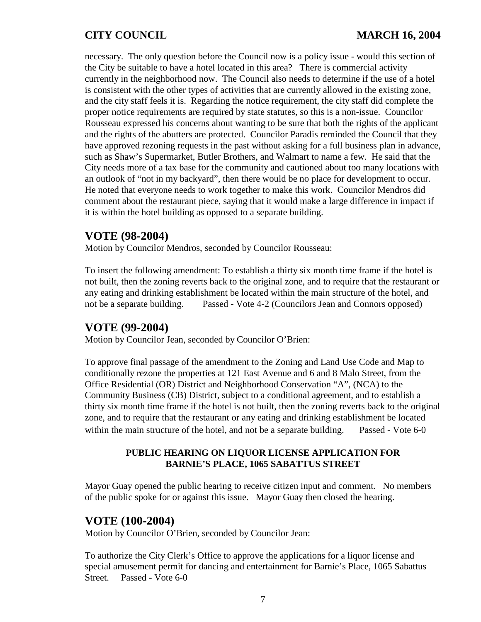necessary. The only question before the Council now is a policy issue - would this section of the City be suitable to have a hotel located in this area? There is commercial activity currently in the neighborhood now. The Council also needs to determine if the use of a hotel is consistent with the other types of activities that are currently allowed in the existing zone, and the city staff feels it is. Regarding the notice requirement, the city staff did complete the proper notice requirements are required by state statutes, so this is a non-issue. Councilor Rousseau expressed his concerns about wanting to be sure that both the rights of the applicant and the rights of the abutters are protected. Councilor Paradis reminded the Council that they have approved rezoning requests in the past without asking for a full business plan in advance, such as Shaw's Supermarket, Butler Brothers, and Walmart to name a few. He said that the City needs more of a tax base for the community and cautioned about too many locations with an outlook of "not in my backyard", then there would be no place for development to occur. He noted that everyone needs to work together to make this work. Councilor Mendros did comment about the restaurant piece, saying that it would make a large difference in impact if it is within the hotel building as opposed to a separate building.

# **VOTE (98-2004)**

Motion by Councilor Mendros, seconded by Councilor Rousseau:

To insert the following amendment: To establish a thirty six month time frame if the hotel is not built, then the zoning reverts back to the original zone, and to require that the restaurant or any eating and drinking establishment be located within the main structure of the hotel, and not be a separate building. Passed - Vote 4-2 (Councilors Jean and Connors opposed)

# **VOTE (99-2004)**

Motion by Councilor Jean, seconded by Councilor O'Brien:

To approve final passage of the amendment to the Zoning and Land Use Code and Map to conditionally rezone the properties at 121 East Avenue and 6 and 8 Malo Street, from the Office Residential (OR) District and Neighborhood Conservation "A", (NCA) to the Community Business (CB) District, subject to a conditional agreement, and to establish a thirty six month time frame if the hotel is not built, then the zoning reverts back to the original zone, and to require that the restaurant or any eating and drinking establishment be located within the main structure of the hotel, and not be a separate building. Passed - Vote 6-0

### **PUBLIC HEARING ON LIQUOR LICENSE APPLICATION FOR BARNIE'S PLACE, 1065 SABATTUS STREET**

Mayor Guay opened the public hearing to receive citizen input and comment. No members of the public spoke for or against this issue. Mayor Guay then closed the hearing.

# **VOTE (100-2004)**

Motion by Councilor O'Brien, seconded by Councilor Jean:

To authorize the City Clerk's Office to approve the applications for a liquor license and special amusement permit for dancing and entertainment for Barnie's Place, 1065 Sabattus Street. Passed - Vote 6-0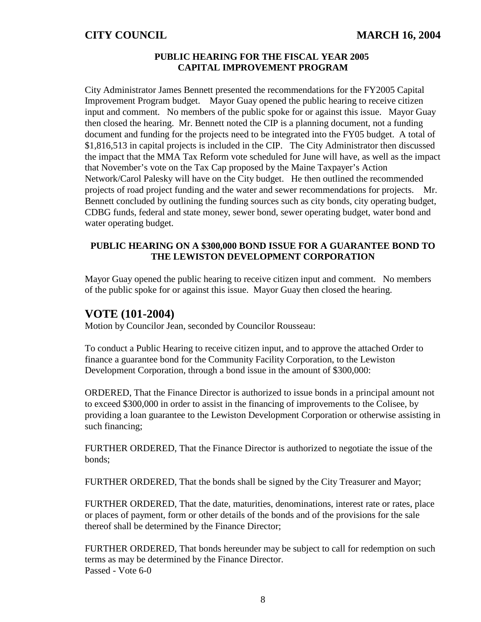### **PUBLIC HEARING FOR THE FISCAL YEAR 2005 CAPITAL IMPROVEMENT PROGRAM**

City Administrator James Bennett presented the recommendations for the FY2005 Capital Improvement Program budget. Mayor Guay opened the public hearing to receive citizen input and comment. No members of the public spoke for or against this issue. Mayor Guay then closed the hearing. Mr. Bennett noted the CIP is a planning document, not a funding document and funding for the projects need to be integrated into the FY05 budget. A total of \$1,816,513 in capital projects is included in the CIP. The City Administrator then discussed the impact that the MMA Tax Reform vote scheduled for June will have, as well as the impact that November's vote on the Tax Cap proposed by the Maine Taxpayer's Action Network/Carol Palesky will have on the City budget. He then outlined the recommended projects of road project funding and the water and sewer recommendations for projects. Mr. Bennett concluded by outlining the funding sources such as city bonds, city operating budget, CDBG funds, federal and state money, sewer bond, sewer operating budget, water bond and water operating budget.

### **PUBLIC HEARING ON A \$300,000 BOND ISSUE FOR A GUARANTEE BOND TO THE LEWISTON DEVELOPMENT CORPORATION**

Mayor Guay opened the public hearing to receive citizen input and comment. No members of the public spoke for or against this issue. Mayor Guay then closed the hearing.

# **VOTE (101-2004)**

Motion by Councilor Jean, seconded by Councilor Rousseau:

To conduct a Public Hearing to receive citizen input, and to approve the attached Order to finance a guarantee bond for the Community Facility Corporation, to the Lewiston Development Corporation, through a bond issue in the amount of \$300,000:

ORDERED, That the Finance Director is authorized to issue bonds in a principal amount not to exceed \$300,000 in order to assist in the financing of improvements to the Colisee, by providing a loan guarantee to the Lewiston Development Corporation or otherwise assisting in such financing;

FURTHER ORDERED, That the Finance Director is authorized to negotiate the issue of the bonds;

FURTHER ORDERED, That the bonds shall be signed by the City Treasurer and Mayor;

FURTHER ORDERED, That the date, maturities, denominations, interest rate or rates, place or places of payment, form or other details of the bonds and of the provisions for the sale thereof shall be determined by the Finance Director;

FURTHER ORDERED, That bonds hereunder may be subject to call for redemption on such terms as may be determined by the Finance Director. Passed - Vote 6-0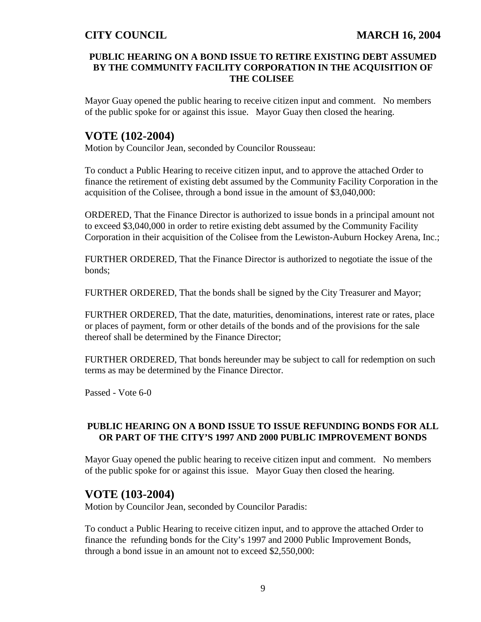## **PUBLIC HEARING ON A BOND ISSUE TO RETIRE EXISTING DEBT ASSUMED BY THE COMMUNITY FACILITY CORPORATION IN THE ACQUISITION OF THE COLISEE**

Mayor Guay opened the public hearing to receive citizen input and comment. No members of the public spoke for or against this issue. Mayor Guay then closed the hearing.

# **VOTE (102-2004)**

Motion by Councilor Jean, seconded by Councilor Rousseau:

To conduct a Public Hearing to receive citizen input, and to approve the attached Order to finance the retirement of existing debt assumed by the Community Facility Corporation in the acquisition of the Colisee, through a bond issue in the amount of \$3,040,000:

ORDERED, That the Finance Director is authorized to issue bonds in a principal amount not to exceed \$3,040,000 in order to retire existing debt assumed by the Community Facility Corporation in their acquisition of the Colisee from the Lewiston-Auburn Hockey Arena, Inc.;

FURTHER ORDERED, That the Finance Director is authorized to negotiate the issue of the bonds;

FURTHER ORDERED, That the bonds shall be signed by the City Treasurer and Mayor;

FURTHER ORDERED, That the date, maturities, denominations, interest rate or rates, place or places of payment, form or other details of the bonds and of the provisions for the sale thereof shall be determined by the Finance Director;

FURTHER ORDERED, That bonds hereunder may be subject to call for redemption on such terms as may be determined by the Finance Director.

Passed - Vote 6-0

## **PUBLIC HEARING ON A BOND ISSUE TO ISSUE REFUNDING BONDS FOR ALL OR PART OF THE CITY'S 1997 AND 2000 PUBLIC IMPROVEMENT BONDS**

Mayor Guay opened the public hearing to receive citizen input and comment. No members of the public spoke for or against this issue. Mayor Guay then closed the hearing.

# **VOTE (103-2004)**

Motion by Councilor Jean, seconded by Councilor Paradis:

To conduct a Public Hearing to receive citizen input, and to approve the attached Order to finance the refunding bonds for the City's 1997 and 2000 Public Improvement Bonds, through a bond issue in an amount not to exceed \$2,550,000: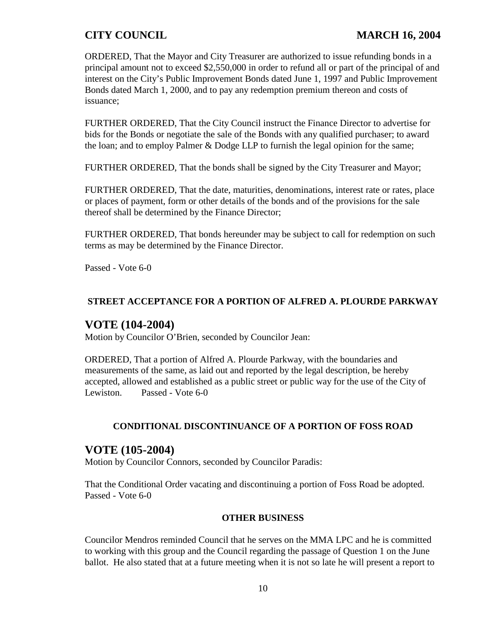ORDERED, That the Mayor and City Treasurer are authorized to issue refunding bonds in a principal amount not to exceed \$2,550,000 in order to refund all or part of the principal of and interest on the City's Public Improvement Bonds dated June 1, 1997 and Public Improvement Bonds dated March 1, 2000, and to pay any redemption premium thereon and costs of issuance;

FURTHER ORDERED, That the City Council instruct the Finance Director to advertise for bids for the Bonds or negotiate the sale of the Bonds with any qualified purchaser; to award the loan; and to employ Palmer & Dodge LLP to furnish the legal opinion for the same;

FURTHER ORDERED, That the bonds shall be signed by the City Treasurer and Mayor;

FURTHER ORDERED, That the date, maturities, denominations, interest rate or rates, place or places of payment, form or other details of the bonds and of the provisions for the sale thereof shall be determined by the Finance Director;

FURTHER ORDERED, That bonds hereunder may be subject to call for redemption on such terms as may be determined by the Finance Director.

Passed - Vote 6-0

## **STREET ACCEPTANCE FOR A PORTION OF ALFRED A. PLOURDE PARKWAY**

# **VOTE (104-2004)**

Motion by Councilor O'Brien, seconded by Councilor Jean:

ORDERED, That a portion of Alfred A. Plourde Parkway, with the boundaries and measurements of the same, as laid out and reported by the legal description, be hereby accepted, allowed and established as a public street or public way for the use of the City of Lewiston. Passed - Vote 6-0

### **CONDITIONAL DISCONTINUANCE OF A PORTION OF FOSS ROAD**

# **VOTE (105-2004)**

Motion by Councilor Connors, seconded by Councilor Paradis:

That the Conditional Order vacating and discontinuing a portion of Foss Road be adopted. Passed - Vote 6-0

### **OTHER BUSINESS**

Councilor Mendros reminded Council that he serves on the MMA LPC and he is committed to working with this group and the Council regarding the passage of Question 1 on the June ballot. He also stated that at a future meeting when it is not so late he will present a report to